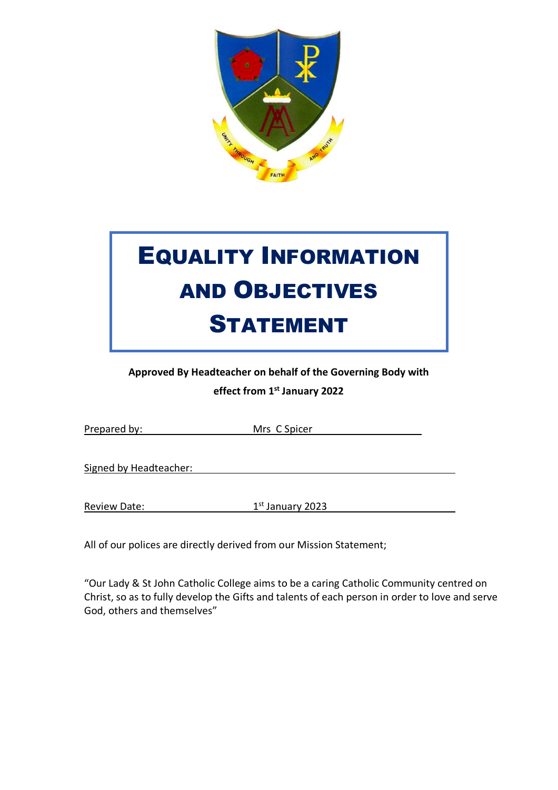

# EQUALITY INFORMATION AND OBJECTIVES STATEMENT

**Approved By Headteacher on behalf of the Governing Body with** 

**effect from 1st January 2022**

| Prepared by: | Mrs C Spicer |
|--------------|--------------|
|--------------|--------------|

Signed by Headteacher:

Review Date: 1st January 2023

All of our polices are directly derived from our Mission Statement;

"Our Lady & St John Catholic College aims to be a caring Catholic Community centred on Christ, so as to fully develop the Gifts and talents of each person in order to love and serve God, others and themselves"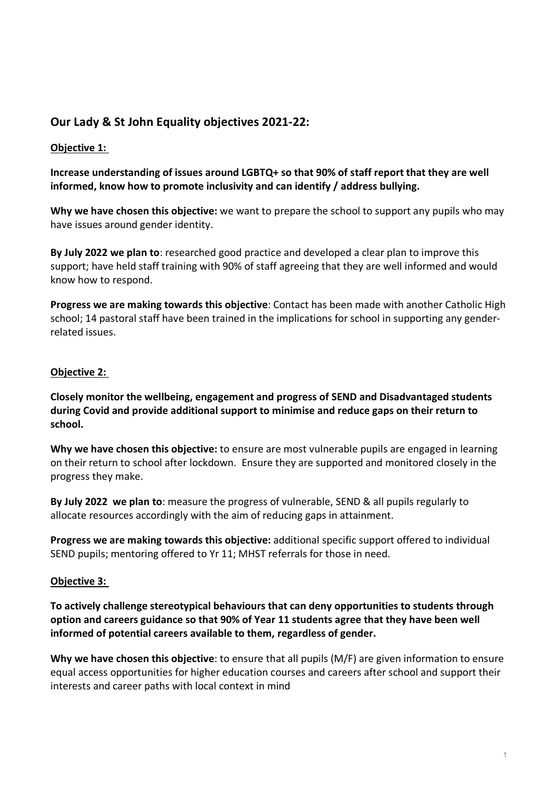# **Our Lady & St John Equality objectives 2021-22:**

## **Objective 1:**

# **Increase understanding of issues around LGBTQ+ so that 90% of staff report that they are well informed, know how to promote inclusivity and can identify / address bullying.**

**Why we have chosen this objective:** we want to prepare the school to support any pupils who may have issues around gender identity.

**By July 2022 we plan to**: researched good practice and developed a clear plan to improve this support; have held staff training with 90% of staff agreeing that they are well informed and would know how to respond.

**Progress we are making towards this objective**: Contact has been made with another Catholic High school; 14 pastoral staff have been trained in the implications for school in supporting any genderrelated issues.

## **Objective 2:**

**Closely monitor the wellbeing, engagement and progress of SEND and Disadvantaged students during Covid and provide additional support to minimise and reduce gaps on their return to school.**

**Why we have chosen this objective:** to ensure are most vulnerable pupils are engaged in learning on their return to school after lockdown. Ensure they are supported and monitored closely in the progress they make.

**By July 2022 we plan to**: measure the progress of vulnerable, SEND & all pupils regularly to allocate resources accordingly with the aim of reducing gaps in attainment.

**Progress we are making towards this objective:** additional specific support offered to individual SEND pupils; mentoring offered to Yr 11; MHST referrals for those in need.

## **Objective 3:**

**To actively challenge stereotypical behaviours that can deny opportunities to students through option and careers guidance so that 90% of Year 11 students agree that they have been well informed of potential careers available to them, regardless of gender.**

**Why we have chosen this objective**: to ensure that all pupils (M/F) are given information to ensure equal access opportunities for higher education courses and careers after school and support their interests and career paths with local context in mind